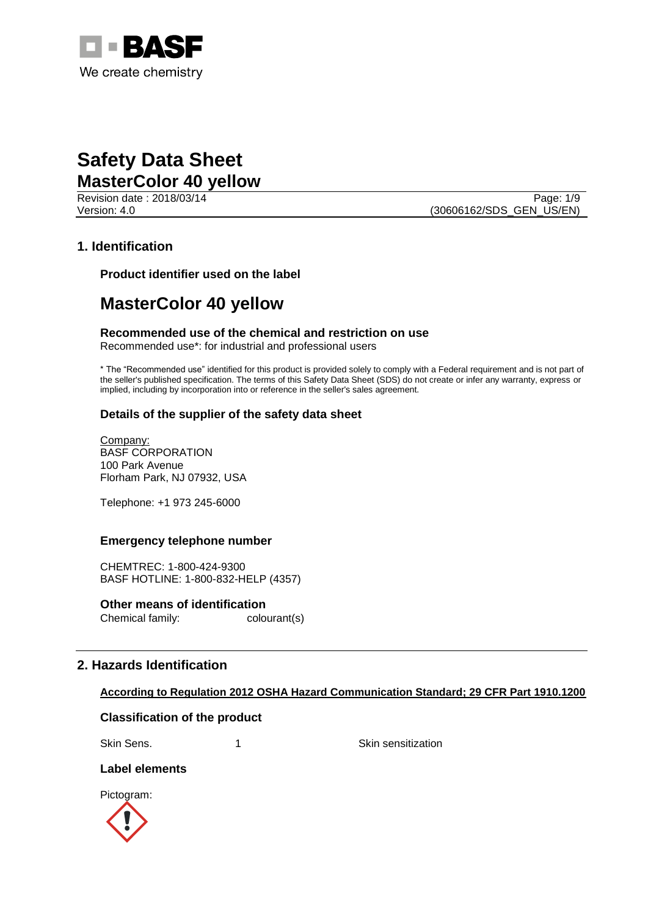

Revision date : 2018/03/14 Page: 1/9

Version: 4.0 (30606162/SDS\_GEN\_US/EN)

### **1. Identification**

**Product identifier used on the label**

# **MasterColor 40 yellow**

**Recommended use of the chemical and restriction on use** Recommended use\*: for industrial and professional users

\* The "Recommended use" identified for this product is provided solely to comply with a Federal requirement and is not part of the seller's published specification. The terms of this Safety Data Sheet (SDS) do not create or infer any warranty, express or implied, including by incorporation into or reference in the seller's sales agreement.

### **Details of the supplier of the safety data sheet**

Company: BASF CORPORATION 100 Park Avenue Florham Park, NJ 07932, USA

Telephone: +1 973 245-6000

### **Emergency telephone number**

CHEMTREC: 1-800-424-9300 BASF HOTLINE: 1-800-832-HELP (4357)

**Other means of identification** Chemical family: colourant(s)

### **2. Hazards Identification**

### **According to Regulation 2012 OSHA Hazard Communication Standard; 29 CFR Part 1910.1200**

### **Classification of the product**

Skin Sens. 1 1 Skin sensitization

### **Label elements**

Pictogram:

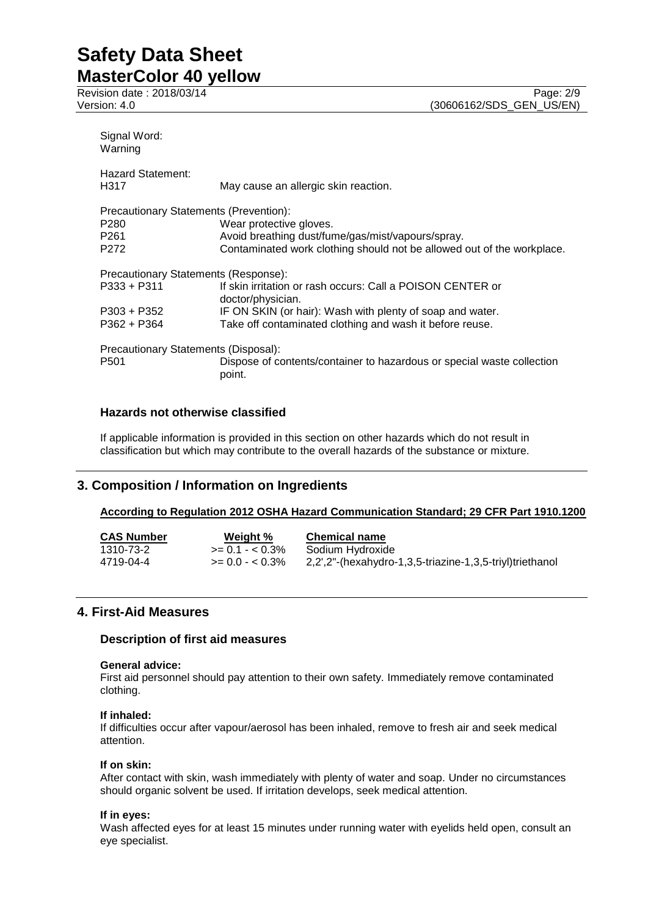Revision date : 2018/03/14<br>
Version: 4.0 (30606162/SDS\_GEN\_US/EN)

| Signal Word:<br>Warning                |                                                                                  |  |  |  |
|----------------------------------------|----------------------------------------------------------------------------------|--|--|--|
| <b>Hazard Statement:</b><br>H317       | May cause an allergic skin reaction.                                             |  |  |  |
| Precautionary Statements (Prevention): |                                                                                  |  |  |  |
| P <sub>280</sub>                       | Wear protective gloves.                                                          |  |  |  |
| P <sub>261</sub>                       | Avoid breathing dust/fume/gas/mist/vapours/spray.                                |  |  |  |
| P <sub>272</sub>                       | Contaminated work clothing should not be allowed out of the workplace.           |  |  |  |
| Precautionary Statements (Response):   |                                                                                  |  |  |  |
| $P333 + P311$                          | If skin irritation or rash occurs: Call a POISON CENTER or<br>doctor/physician.  |  |  |  |
| P303 + P352                            | IF ON SKIN (or hair): Wash with plenty of soap and water.                        |  |  |  |
| P362 + P364                            | Take off contaminated clothing and wash it before reuse.                         |  |  |  |
| Precautionary Statements (Disposal):   |                                                                                  |  |  |  |
| P <sub>501</sub>                       | Dispose of contents/container to hazardous or special waste collection<br>point. |  |  |  |

### **Hazards not otherwise classified**

If applicable information is provided in this section on other hazards which do not result in classification but which may contribute to the overall hazards of the substance or mixture.

### **3. Composition / Information on Ingredients**

### **According to Regulation 2012 OSHA Hazard Communication Standard; 29 CFR Part 1910.1200**

| <b>CAS Number</b> | Weight %         | <b>Chemical name</b>                                     |
|-------------------|------------------|----------------------------------------------------------|
| 1310-73-2         | $>= 0.1 - 5.3\%$ | Sodium Hydroxide                                         |
| 4719-04-4         | $>= 0.0 - 0.3\%$ | 2,2',2"-(hexahydro-1,3,5-triazine-1,3,5-triyl)triethanol |

### **4. First-Aid Measures**

### **Description of first aid measures**

#### **General advice:**

First aid personnel should pay attention to their own safety. Immediately remove contaminated clothing.

#### **If inhaled:**

If difficulties occur after vapour/aerosol has been inhaled, remove to fresh air and seek medical attention.

#### **If on skin:**

After contact with skin, wash immediately with plenty of water and soap. Under no circumstances should organic solvent be used. If irritation develops, seek medical attention.

### **If in eyes:**

Wash affected eyes for at least 15 minutes under running water with eyelids held open, consult an eye specialist.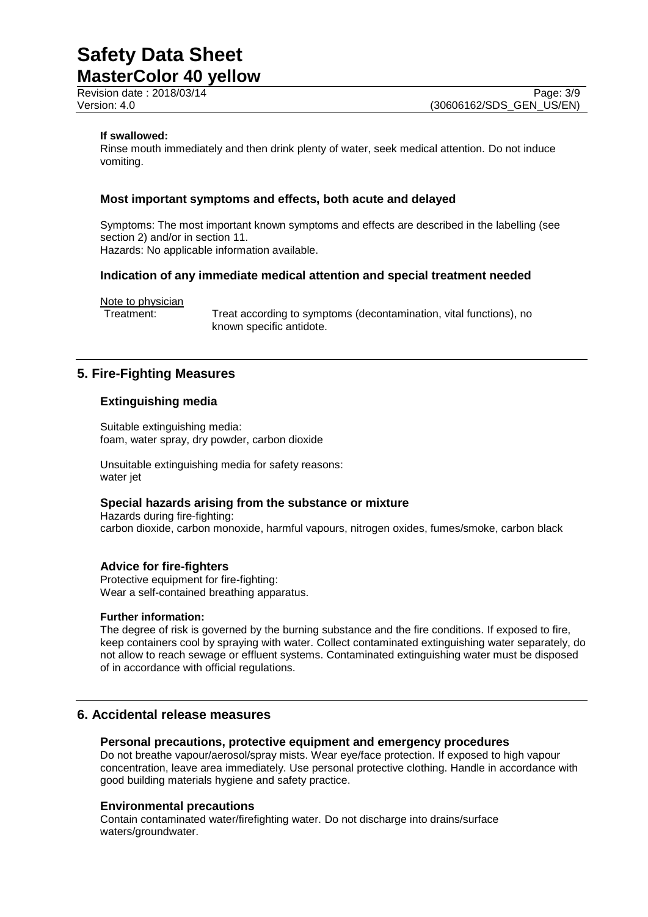Revision date : 2018/03/14<br>
Version: 4.0<br>
Version: 4.0 (30606162/SDS GEN US/EN)

### **If swallowed:**

Rinse mouth immediately and then drink plenty of water, seek medical attention. Do not induce vomiting.

### **Most important symptoms and effects, both acute and delayed**

Symptoms: The most important known symptoms and effects are described in the labelling (see section 2) and/or in section 11. Hazards: No applicable information available.

### **Indication of any immediate medical attention and special treatment needed**

Note to physician

Treatment: Treat according to symptoms (decontamination, vital functions), no known specific antidote.

### **5. Fire-Fighting Measures**

### **Extinguishing media**

Suitable extinguishing media: foam, water spray, dry powder, carbon dioxide

Unsuitable extinguishing media for safety reasons: water jet

### **Special hazards arising from the substance or mixture**

Hazards during fire-fighting: carbon dioxide, carbon monoxide, harmful vapours, nitrogen oxides, fumes/smoke, carbon black

### **Advice for fire-fighters**

Protective equipment for fire-fighting: Wear a self-contained breathing apparatus.

#### **Further information:**

The degree of risk is governed by the burning substance and the fire conditions. If exposed to fire, keep containers cool by spraying with water. Collect contaminated extinguishing water separately, do not allow to reach sewage or effluent systems. Contaminated extinguishing water must be disposed of in accordance with official regulations.

### **6. Accidental release measures**

#### **Personal precautions, protective equipment and emergency procedures**

Do not breathe vapour/aerosol/spray mists. Wear eye/face protection. If exposed to high vapour concentration, leave area immediately. Use personal protective clothing. Handle in accordance with good building materials hygiene and safety practice.

#### **Environmental precautions**

Contain contaminated water/firefighting water. Do not discharge into drains/surface waters/groundwater.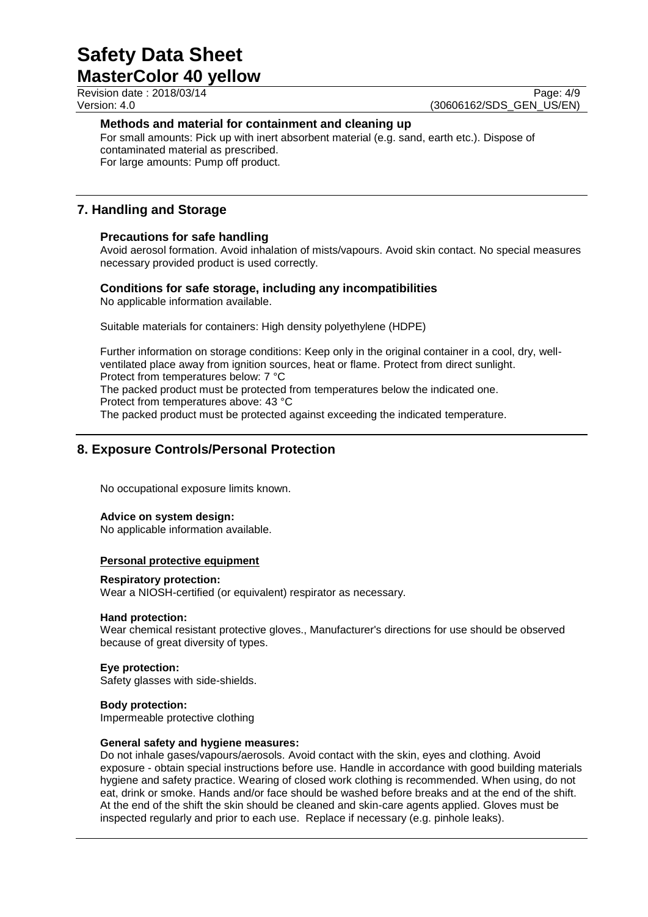Revision date : 2018/03/14

Version: 4.0 (30606162/SDS\_GEN\_US/EN)

### **Methods and material for containment and cleaning up**

For small amounts: Pick up with inert absorbent material (e.g. sand, earth etc.). Dispose of contaminated material as prescribed. For large amounts: Pump off product.

### **7. Handling and Storage**

### **Precautions for safe handling**

Avoid aerosol formation. Avoid inhalation of mists/vapours. Avoid skin contact. No special measures necessary provided product is used correctly.

### **Conditions for safe storage, including any incompatibilities**

No applicable information available.

Suitable materials for containers: High density polyethylene (HDPE)

Further information on storage conditions: Keep only in the original container in a cool, dry, wellventilated place away from ignition sources, heat or flame. Protect from direct sunlight. Protect from temperatures below: 7 °C The packed product must be protected from temperatures below the indicated one.

Protect from temperatures above: 43 °C

The packed product must be protected against exceeding the indicated temperature.

### **8. Exposure Controls/Personal Protection**

No occupational exposure limits known.

#### **Advice on system design:** No applicable information available.

### **Personal protective equipment**

### **Respiratory protection:**

Wear a NIOSH-certified (or equivalent) respirator as necessary.

### **Hand protection:**

Wear chemical resistant protective gloves., Manufacturer's directions for use should be observed because of great diversity of types.

### **Eye protection:** Safety glasses with side-shields.

### **Body protection:**

Impermeable protective clothing

### **General safety and hygiene measures:**

Do not inhale gases/vapours/aerosols. Avoid contact with the skin, eyes and clothing. Avoid exposure - obtain special instructions before use. Handle in accordance with good building materials hygiene and safety practice. Wearing of closed work clothing is recommended. When using, do not eat, drink or smoke. Hands and/or face should be washed before breaks and at the end of the shift. At the end of the shift the skin should be cleaned and skin-care agents applied. Gloves must be inspected regularly and prior to each use. Replace if necessary (e.g. pinhole leaks).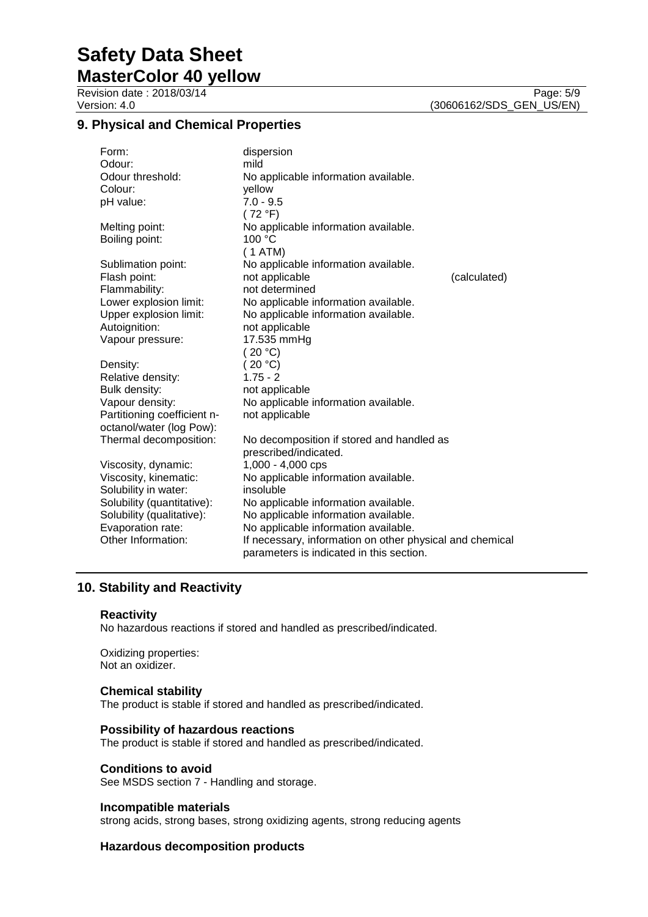# **Safety Data Sheet**

**MasterColor 40 yellow**

### **9. Physical and Chemical Properties**

| Form:                       | dispersion                                               |              |
|-----------------------------|----------------------------------------------------------|--------------|
| Odour:                      | mild                                                     |              |
| Odour threshold:            | No applicable information available.                     |              |
| Colour:                     | yellow                                                   |              |
| pH value:                   | $7.0 - 9.5$                                              |              |
|                             | (72 °F)                                                  |              |
| Melting point:              | No applicable information available.                     |              |
| Boiling point:              | 100 $\degree$ C                                          |              |
|                             | (1ATM)                                                   |              |
| Sublimation point:          | No applicable information available.                     |              |
| Flash point:                | not applicable                                           | (calculated) |
| Flammability:               | not determined                                           |              |
| Lower explosion limit:      | No applicable information available.                     |              |
| Upper explosion limit:      | No applicable information available.                     |              |
| Autoignition:               | not applicable                                           |              |
| Vapour pressure:            | 17.535 mmHg                                              |              |
|                             | (20 °C)                                                  |              |
| Density:                    | (20 °C)                                                  |              |
| Relative density:           | $1.75 - 2$                                               |              |
| Bulk density:               | not applicable                                           |              |
| Vapour density:             | No applicable information available.                     |              |
| Partitioning coefficient n- | not applicable                                           |              |
| octanol/water (log Pow):    |                                                          |              |
| Thermal decomposition:      | No decomposition if stored and handled as                |              |
|                             | prescribed/indicated.                                    |              |
| Viscosity, dynamic:         | 1,000 - 4,000 cps                                        |              |
| Viscosity, kinematic:       | No applicable information available.                     |              |
| Solubility in water:        | insoluble                                                |              |
| Solubility (quantitative):  | No applicable information available.                     |              |
| Solubility (qualitative):   | No applicable information available.                     |              |
| Evaporation rate:           | No applicable information available.                     |              |
| Other Information:          | If necessary, information on other physical and chemical |              |
|                             | parameters is indicated in this section.                 |              |

### **10. Stability and Reactivity**

### **Reactivity**

No hazardous reactions if stored and handled as prescribed/indicated.

Oxidizing properties: Not an oxidizer.

### **Chemical stability**

The product is stable if stored and handled as prescribed/indicated.

### **Possibility of hazardous reactions**

The product is stable if stored and handled as prescribed/indicated.

### **Conditions to avoid**

See MSDS section 7 - Handling and storage.

### **Incompatible materials**

strong acids, strong bases, strong oxidizing agents, strong reducing agents

### **Hazardous decomposition products**

Revision date : 2018/03/14<br>
Version: 4.0 (30606162/SDS\_GEN\_US/EN) (30606162/SDS\_GEN\_US/EN)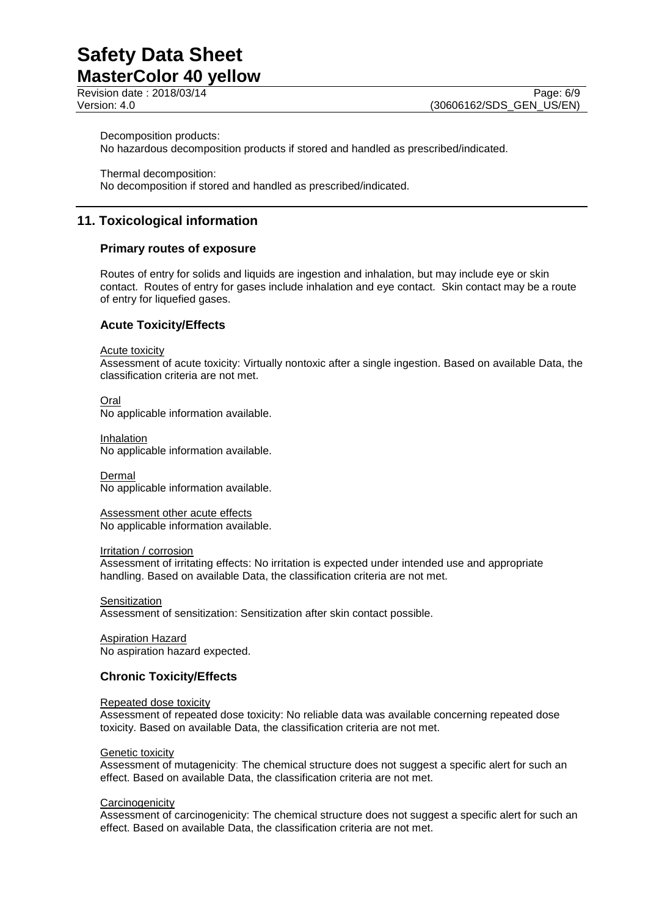Revision date : 2018/03/14

Decomposition products:

No hazardous decomposition products if stored and handled as prescribed/indicated.

Thermal decomposition: No decomposition if stored and handled as prescribed/indicated.

### **11. Toxicological information**

### **Primary routes of exposure**

Routes of entry for solids and liquids are ingestion and inhalation, but may include eye or skin contact. Routes of entry for gases include inhalation and eye contact. Skin contact may be a route of entry for liquefied gases.

### **Acute Toxicity/Effects**

Acute toxicity

Assessment of acute toxicity: Virtually nontoxic after a single ingestion. Based on available Data, the classification criteria are not met.

Oral No applicable information available.

Inhalation No applicable information available.

Dermal No applicable information available.

Assessment other acute effects No applicable information available.

Irritation / corrosion

Assessment of irritating effects: No irritation is expected under intended use and appropriate handling. Based on available Data, the classification criteria are not met.

**Sensitization** Assessment of sensitization: Sensitization after skin contact possible.

Aspiration Hazard No aspiration hazard expected.

### **Chronic Toxicity/Effects**

Repeated dose toxicity

Assessment of repeated dose toxicity: No reliable data was available concerning repeated dose toxicity. Based on available Data, the classification criteria are not met.

**Genetic toxicity** 

Assessment of mutagenicity: The chemical structure does not suggest a specific alert for such an effect. Based on available Data, the classification criteria are not met.

### **Carcinogenicity**

Assessment of carcinogenicity: The chemical structure does not suggest a specific alert for such an effect. Based on available Data, the classification criteria are not met.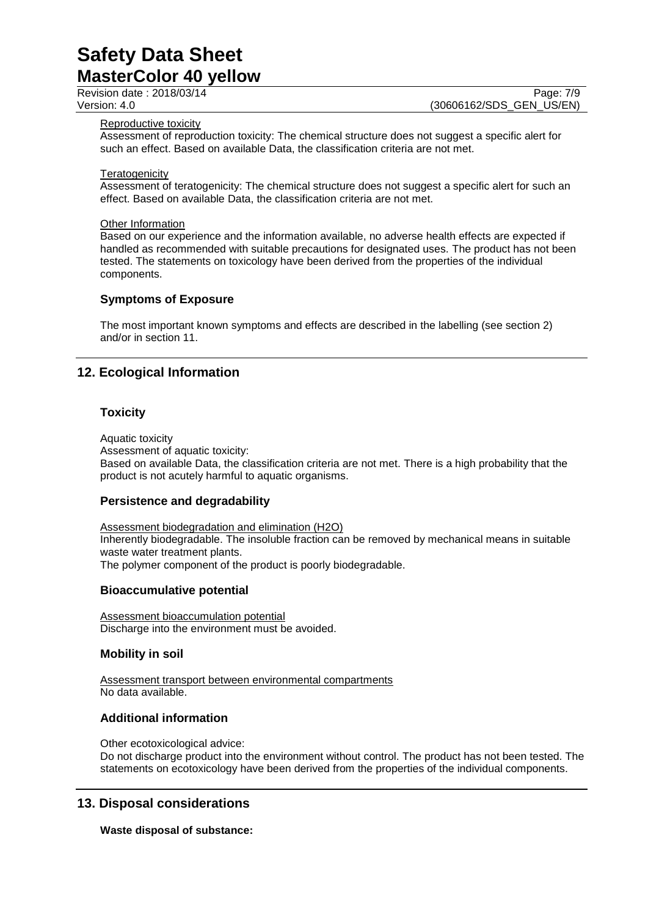### Revision date : 2018/03/14 Page: 7/9

Version: 4.0 (30606162/SDS\_GEN\_US/EN)

#### Reproductive toxicity

Assessment of reproduction toxicity: The chemical structure does not suggest a specific alert for such an effect. Based on available Data, the classification criteria are not met.

#### **Teratogenicity**

Assessment of teratogenicity: The chemical structure does not suggest a specific alert for such an effect. Based on available Data, the classification criteria are not met.

#### Other Information

Based on our experience and the information available, no adverse health effects are expected if handled as recommended with suitable precautions for designated uses. The product has not been tested. The statements on toxicology have been derived from the properties of the individual components.

### **Symptoms of Exposure**

The most important known symptoms and effects are described in the labelling (see section 2) and/or in section 11.

### **12. Ecological Information**

### **Toxicity**

Aquatic toxicity Assessment of aquatic toxicity: Based on available Data, the classification criteria are not met. There is a high probability that the product is not acutely harmful to aquatic organisms.

### **Persistence and degradability**

Assessment biodegradation and elimination (H2O) Inherently biodegradable. The insoluble fraction can be removed by mechanical means in suitable waste water treatment plants. The polymer component of the product is poorly biodegradable.

### **Bioaccumulative potential**

Assessment bioaccumulation potential Discharge into the environment must be avoided.

### **Mobility in soil**

Assessment transport between environmental compartments No data available.

### **Additional information**

Other ecotoxicological advice:

Do not discharge product into the environment without control. The product has not been tested. The statements on ecotoxicology have been derived from the properties of the individual components.

### **13. Disposal considerations**

**Waste disposal of substance:**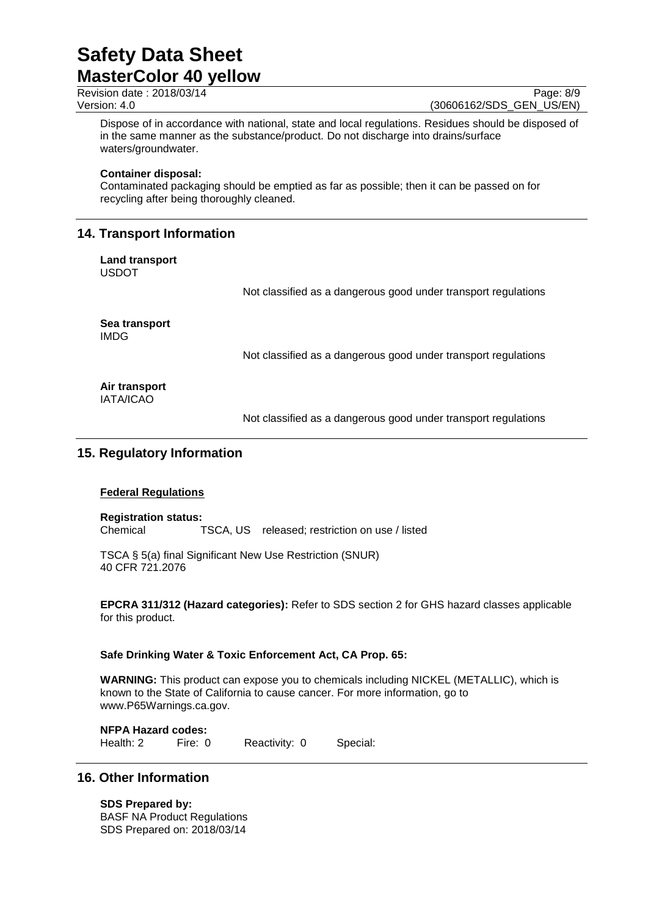# Revision date : 2018/03/14 Page: 8/9

Version: 4.0 (30606162/SDS\_GEN\_US/EN)

Dispose of in accordance with national, state and local regulations. Residues should be disposed of in the same manner as the substance/product. Do not discharge into drains/surface waters/groundwater.

### **Container disposal:**

Contaminated packaging should be emptied as far as possible; then it can be passed on for recycling after being thoroughly cleaned.

### **14. Transport Information**

#### **Land transport** USDOT

Not classified as a dangerous good under transport regulations

**Sea transport** IMDG

Not classified as a dangerous good under transport regulations

### **Air transport** IATA/ICAO

Not classified as a dangerous good under transport regulations

### **15. Regulatory Information**

### **Federal Regulations**

**Registration status:** Chemical TSCA, US released; restriction on use / listed

TSCA § 5(a) final Significant New Use Restriction (SNUR) 40 CFR 721.2076

**EPCRA 311/312 (Hazard categories):** Refer to SDS section 2 for GHS hazard classes applicable for this product.

### **Safe Drinking Water & Toxic Enforcement Act, CA Prop. 65:**

**WARNING:** This product can expose you to chemicals including NICKEL (METALLIC), which is known to the State of California to cause cancer. For more information, go to www.P65Warnings.ca.gov.

**NFPA Hazard codes:** Health: 2 Fire: 0 Reactivity: 0 Special:

### **16. Other Information**

### **SDS Prepared by:**

BASF NA Product Regulations SDS Prepared on: 2018/03/14